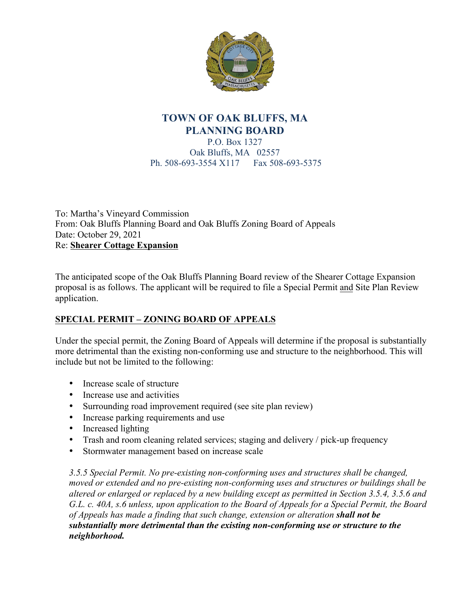

## **TOWN OF OAK BLUFFS, MA PLANNING BOARD**

P.O. Box 1327 Oak Bluffs, MA 02557 Ph. 508-693-3554 X117 Fax 508-693-5375

To: Martha's Vineyard Commission From: Oak Bluffs Planning Board and Oak Bluffs Zoning Board of Appeals Date: October 29, 2021 Re: **Shearer Cottage Expansion**

The anticipated scope of the Oak Bluffs Planning Board review of the Shearer Cottage Expansion proposal is as follows. The applicant will be required to file a Special Permit and Site Plan Review application.

## **SPECIAL PERMIT – ZONING BOARD OF APPEALS**

Under the special permit, the Zoning Board of Appeals will determine if the proposal is substantially more detrimental than the existing non-conforming use and structure to the neighborhood. This will include but not be limited to the following:

- Increase scale of structure
- Increase use and activities
- Surrounding road improvement required (see site plan review)
- Increase parking requirements and use
- Increased lighting
- Trash and room cleaning related services; staging and delivery / pick-up frequency
- Stormwater management based on increase scale

*3.5.5 Special Permit. No pre-existing non-conforming uses and structures shall be changed, moved or extended and no pre-existing non-conforming uses and structures or buildings shall be altered or enlarged or replaced by a new building except as permitted in Section 3.5.4, 3.5.6 and G.L. c. 40A, s.6 unless, upon application to the Board of Appeals for a Special Permit, the Board of Appeals has made a finding that such change, extension or alteration shall not be substantially more detrimental than the existing non-conforming use or structure to the neighborhood.*